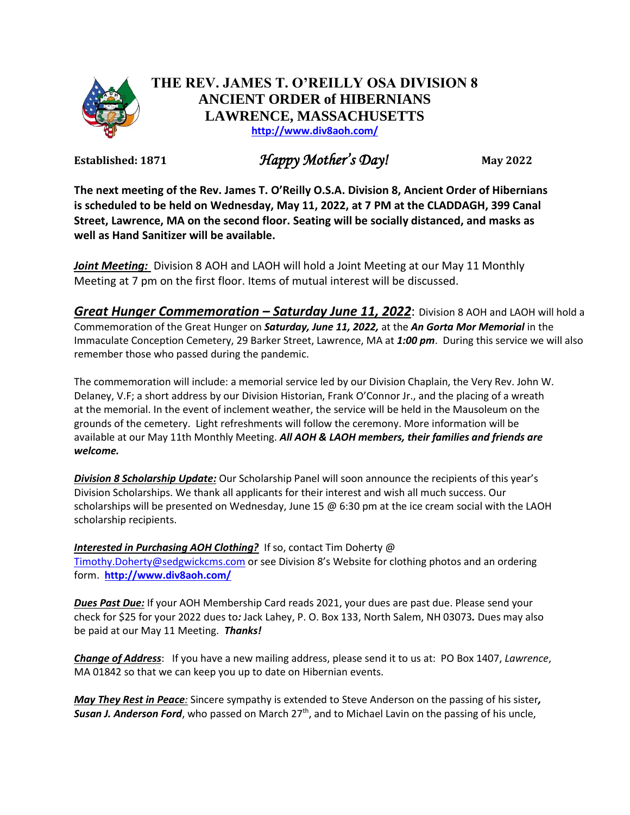

## **THE REV. JAMES T. O'REILLY OSA DIVISION 8 ANCIENT ORDER of HIBERNIANS LAWRENCE, MASSACHUSETTS <http://www.div8aoh.com/>**

Established: 1871 *Happy Mother's Day!* May 2022

**The next meeting of the Rev. James T. O'Reilly O.S.A. Division 8, Ancient Order of Hibernians is scheduled to be held on Wednesday, May 11, 2022, at 7 PM at the CLADDAGH, 399 Canal Street, Lawrence, MA on the second floor. Seating will be socially distanced, and masks as well as Hand Sanitizer will be available.**

*Joint Meeting:* Division 8 AOH and LAOH will hold a Joint Meeting at our May 11 Monthly Meeting at 7 pm on the first floor. Items of mutual interest will be discussed.

*Great Hunger Commemoration – Saturday June 11, 2022*: Division 8 AOH and LAOH will hold a Commemoration of the Great Hunger on *Saturday, June 11, 2022,* at the *An Gorta Mor Memorial* in the Immaculate Conception Cemetery, 29 Barker Street, Lawrence, MA at *1:00 pm*. During this service we will also remember those who passed during the pandemic.

The commemoration will include: a memorial service led by our Division Chaplain, the Very Rev. John W. Delaney, V.F; a short address by our Division Historian, Frank O'Connor Jr., and the placing of a wreath at the memorial. In the event of inclement weather, the service will be held in the Mausoleum on the grounds of the cemetery. Light refreshments will follow the ceremony. More information will be available at our May 11th Monthly Meeting. *All AOH & LAOH members, their families and friends are welcome.*

*Division 8 Scholarship Update:* Our Scholarship Panel will soon announce the recipients of this year's Division Scholarships. We thank all applicants for their interest and wish all much success. Our scholarships will be presented on Wednesday, June 15 @ 6:30 pm at the ice cream social with the LAOH scholarship recipients.

*Interested in Purchasing AOH Clothing?* If so, contact Tim Doherty @ [Timothy.Doherty@sedgwickcms.com](mailto:Timothy.Doherty@sedgwickcms.com) or see Division 8's Website for clothing photos and an ordering form. **<http://www.div8aoh.com/>**

*Dues Past Due:* If your AOH Membership Card reads 2021, your dues are past due. Please send your check for \$25 for your 2022 dues to*:* Jack Lahey, P. O. Box 133, North Salem, NH 03073*.* Dues may also be paid at our May 11 Meeting. *Thanks!*

*Change of Address*: If you have a new mailing address, please send it to us at: PO Box 1407, *Lawrence*, MA 01842 so that we can keep you up to date on Hibernian events.

*May They Rest in Peace:* Sincere sympathy is extended to Steve Anderson on the passing of his sister*,*  Susan J. Anderson Ford, who passed on March 27<sup>th</sup>, and to Michael Lavin on the passing of his uncle,